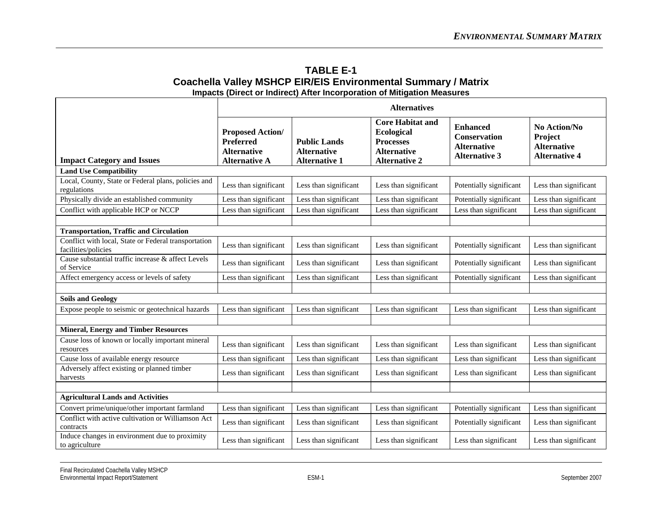| <b>TABLE E-1</b>                                                        |
|-------------------------------------------------------------------------|
| Coachella Valley MSHCP EIR/EIS Environmental Summary / Matrix           |
| Impacts (Direct or Indirect) After Incorporation of Mitigation Measures |

|                                                                             | <b>Alternatives</b>                                                                       |                                                                   |                                                                                                                |                                                                                      |                                                                       |
|-----------------------------------------------------------------------------|-------------------------------------------------------------------------------------------|-------------------------------------------------------------------|----------------------------------------------------------------------------------------------------------------|--------------------------------------------------------------------------------------|-----------------------------------------------------------------------|
| <b>Impact Category and Issues</b>                                           | <b>Proposed Action/</b><br><b>Preferred</b><br><b>Alternative</b><br><b>Alternative A</b> | <b>Public Lands</b><br><b>Alternative</b><br><b>Alternative 1</b> | <b>Core Habitat and</b><br><b>Ecological</b><br><b>Processes</b><br><b>Alternative</b><br><b>Alternative 2</b> | <b>Enhanced</b><br><b>Conservation</b><br><b>Alternative</b><br><b>Alternative 3</b> | No Action/No<br>Project<br><b>Alternative</b><br><b>Alternative 4</b> |
| <b>Land Use Compatibility</b>                                               |                                                                                           |                                                                   |                                                                                                                |                                                                                      |                                                                       |
| Local, County, State or Federal plans, policies and<br>regulations          | Less than significant                                                                     | Less than significant                                             | Less than significant                                                                                          | Potentially significant                                                              | Less than significant                                                 |
| Physically divide an established community                                  | Less than significant                                                                     | Less than significant                                             | Less than significant                                                                                          | Potentially significant                                                              | Less than significant                                                 |
| Conflict with applicable HCP or NCCP                                        | Less than significant                                                                     | Less than significant                                             | Less than significant                                                                                          | Less than significant                                                                | Less than significant                                                 |
|                                                                             |                                                                                           |                                                                   |                                                                                                                |                                                                                      |                                                                       |
| <b>Transportation, Traffic and Circulation</b>                              |                                                                                           |                                                                   |                                                                                                                |                                                                                      |                                                                       |
| Conflict with local, State or Federal transportation<br>facilities/policies | Less than significant                                                                     | Less than significant                                             | Less than significant                                                                                          | Potentially significant                                                              | Less than significant                                                 |
| Cause substantial traffic increase & affect Levels<br>of Service            | Less than significant                                                                     | Less than significant                                             | Less than significant                                                                                          | Potentially significant                                                              | Less than significant                                                 |
| Affect emergency access or levels of safety                                 | Less than significant                                                                     | Less than significant                                             | Less than significant                                                                                          | Potentially significant                                                              | Less than significant                                                 |
|                                                                             |                                                                                           |                                                                   |                                                                                                                |                                                                                      |                                                                       |
| <b>Soils and Geology</b>                                                    |                                                                                           |                                                                   |                                                                                                                |                                                                                      |                                                                       |
| Expose people to seismic or geotechnical hazards                            | Less than significant                                                                     | Less than significant                                             | Less than significant                                                                                          | Less than significant                                                                | Less than significant                                                 |
|                                                                             |                                                                                           |                                                                   |                                                                                                                |                                                                                      |                                                                       |
| <b>Mineral, Energy and Timber Resources</b>                                 |                                                                                           |                                                                   |                                                                                                                |                                                                                      |                                                                       |
| Cause loss of known or locally important mineral<br>resources               | Less than significant                                                                     | Less than significant                                             | Less than significant                                                                                          | Less than significant                                                                | Less than significant                                                 |
| Cause loss of available energy resource                                     | Less than significant                                                                     | Less than significant                                             | Less than significant                                                                                          | Less than significant                                                                | Less than significant                                                 |
| Adversely affect existing or planned timber<br>harvests                     | Less than significant                                                                     | Less than significant                                             | Less than significant                                                                                          | Less than significant                                                                | Less than significant                                                 |
|                                                                             |                                                                                           |                                                                   |                                                                                                                |                                                                                      |                                                                       |
| <b>Agricultural Lands and Activities</b>                                    |                                                                                           |                                                                   |                                                                                                                |                                                                                      |                                                                       |
| Convert prime/unique/other important farmland                               | Less than significant                                                                     | Less than significant                                             | Less than significant                                                                                          | Potentially significant                                                              | Less than significant                                                 |
| Conflict with active cultivation or Williamson Act<br>contracts             | Less than significant                                                                     | Less than significant                                             | Less than significant                                                                                          | Potentially significant                                                              | Less than significant                                                 |
| Induce changes in environment due to proximity<br>to agriculture            | Less than significant                                                                     | Less than significant                                             | Less than significant                                                                                          | Less than significant                                                                | Less than significant                                                 |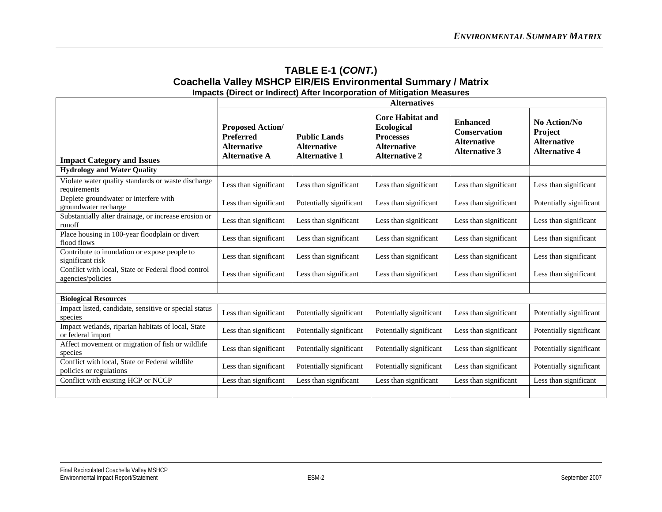|                                                                           | <b>Alternatives</b>                                                                       |                                                                   |                                                                                                                |                                                                                      |                                                                       |
|---------------------------------------------------------------------------|-------------------------------------------------------------------------------------------|-------------------------------------------------------------------|----------------------------------------------------------------------------------------------------------------|--------------------------------------------------------------------------------------|-----------------------------------------------------------------------|
| <b>Impact Category and Issues</b>                                         | <b>Proposed Action/</b><br><b>Preferred</b><br><b>Alternative</b><br><b>Alternative A</b> | <b>Public Lands</b><br><b>Alternative</b><br><b>Alternative 1</b> | <b>Core Habitat and</b><br><b>Ecological</b><br><b>Processes</b><br><b>Alternative</b><br><b>Alternative 2</b> | <b>Enhanced</b><br><b>Conservation</b><br><b>Alternative</b><br><b>Alternative 3</b> | No Action/No<br>Project<br><b>Alternative</b><br><b>Alternative 4</b> |
| <b>Hydrology and Water Quality</b>                                        |                                                                                           |                                                                   |                                                                                                                |                                                                                      |                                                                       |
| Violate water quality standards or waste discharge<br>requirements        | Less than significant                                                                     | Less than significant                                             | Less than significant                                                                                          | Less than significant                                                                | Less than significant                                                 |
| Deplete groundwater or interfere with<br>groundwater recharge             | Less than significant                                                                     | Potentially significant                                           | Less than significant                                                                                          | Less than significant                                                                | Potentially significant                                               |
| Substantially alter drainage, or increase erosion or<br>runoff            | Less than significant                                                                     | Less than significant                                             | Less than significant                                                                                          | Less than significant                                                                | Less than significant                                                 |
| Place housing in 100-year floodplain or divert<br>flood flows             | Less than significant                                                                     | Less than significant                                             | Less than significant                                                                                          | Less than significant                                                                | Less than significant                                                 |
| Contribute to inundation or expose people to<br>significant risk          | Less than significant                                                                     | Less than significant                                             | Less than significant                                                                                          | Less than significant                                                                | Less than significant                                                 |
| Conflict with local, State or Federal flood control<br>agencies/policies  | Less than significant                                                                     | Less than significant                                             | Less than significant                                                                                          | Less than significant                                                                | Less than significant                                                 |
|                                                                           |                                                                                           |                                                                   |                                                                                                                |                                                                                      |                                                                       |
| <b>Biological Resources</b>                                               |                                                                                           |                                                                   |                                                                                                                |                                                                                      |                                                                       |
| Impact listed, candidate, sensitive or special status<br>species          | Less than significant                                                                     | Potentially significant                                           | Potentially significant                                                                                        | Less than significant                                                                | Potentially significant                                               |
| Impact wetlands, riparian habitats of local, State<br>or federal import   | Less than significant                                                                     | Potentially significant                                           | Potentially significant                                                                                        | Less than significant                                                                | Potentially significant                                               |
| Affect movement or migration of fish or wildlife<br>species               | Less than significant                                                                     | Potentially significant                                           | Potentially significant                                                                                        | Less than significant                                                                | Potentially significant                                               |
| Conflict with local, State or Federal wildlife<br>policies or regulations | Less than significant                                                                     | Potentially significant                                           | Potentially significant                                                                                        | Less than significant                                                                | Potentially significant                                               |
| Conflict with existing HCP or NCCP                                        | Less than significant                                                                     | Less than significant                                             | Less than significant                                                                                          | Less than significant                                                                | Less than significant                                                 |
|                                                                           |                                                                                           |                                                                   |                                                                                                                |                                                                                      |                                                                       |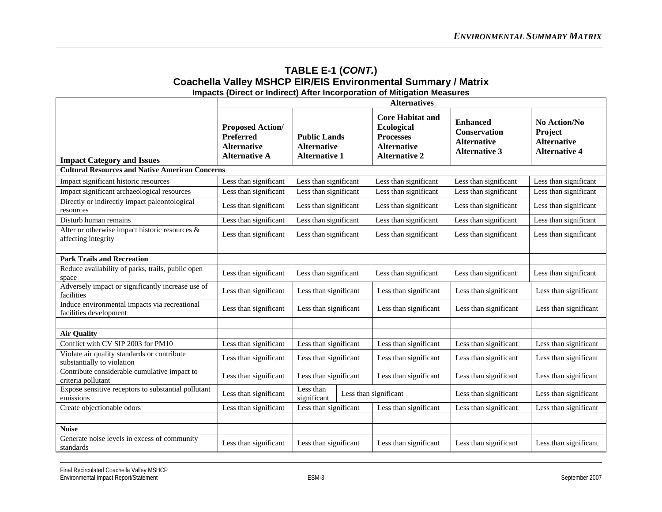|                                                                           | <b>Alternatives</b>                                                                       |                                                                   |  |                                                                                                                |                                                                                      |                                                                              |
|---------------------------------------------------------------------------|-------------------------------------------------------------------------------------------|-------------------------------------------------------------------|--|----------------------------------------------------------------------------------------------------------------|--------------------------------------------------------------------------------------|------------------------------------------------------------------------------|
| <b>Impact Category and Issues</b>                                         | <b>Proposed Action/</b><br><b>Preferred</b><br><b>Alternative</b><br><b>Alternative A</b> | <b>Public Lands</b><br><b>Alternative</b><br><b>Alternative 1</b> |  | <b>Core Habitat and</b><br><b>Ecological</b><br><b>Processes</b><br><b>Alternative</b><br><b>Alternative 2</b> | <b>Enhanced</b><br><b>Conservation</b><br><b>Alternative</b><br><b>Alternative 3</b> | No Action/No<br><b>Project</b><br><b>Alternative</b><br><b>Alternative 4</b> |
| <b>Cultural Resources and Native American Concerns</b>                    |                                                                                           |                                                                   |  |                                                                                                                |                                                                                      |                                                                              |
| Impact significant historic resources                                     | Less than significant                                                                     | Less than significant                                             |  | Less than significant                                                                                          | Less than significant                                                                | Less than significant                                                        |
| Impact significant archaeological resources                               | Less than significant                                                                     | Less than significant                                             |  | Less than significant                                                                                          | Less than significant                                                                | Less than significant                                                        |
| Directly or indirectly impact paleontological<br>resources                | Less than significant                                                                     | Less than significant                                             |  | Less than significant                                                                                          | Less than significant                                                                | Less than significant                                                        |
| Disturb human remains                                                     | Less than significant                                                                     | Less than significant                                             |  | Less than significant                                                                                          | Less than significant                                                                | Less than significant                                                        |
| Alter or otherwise impact historic resources &<br>affecting integrity     | Less than significant                                                                     | Less than significant                                             |  | Less than significant                                                                                          | Less than significant                                                                | Less than significant                                                        |
|                                                                           |                                                                                           |                                                                   |  |                                                                                                                |                                                                                      |                                                                              |
| <b>Park Trails and Recreation</b>                                         |                                                                                           |                                                                   |  |                                                                                                                |                                                                                      |                                                                              |
| Reduce availability of parks, trails, public open<br>space                | Less than significant                                                                     | Less than significant                                             |  | Less than significant                                                                                          | Less than significant                                                                | Less than significant                                                        |
| Adversely impact or significantly increase use of<br>facilities           | Less than significant                                                                     | Less than significant                                             |  | Less than significant                                                                                          | Less than significant                                                                | Less than significant                                                        |
| Induce environmental impacts via recreational<br>facilities development   | Less than significant                                                                     | Less than significant                                             |  | Less than significant                                                                                          | Less than significant                                                                | Less than significant                                                        |
|                                                                           |                                                                                           |                                                                   |  |                                                                                                                |                                                                                      |                                                                              |
| <b>Air Quality</b>                                                        |                                                                                           |                                                                   |  |                                                                                                                |                                                                                      |                                                                              |
| Conflict with CV SIP 2003 for PM10                                        | Less than significant                                                                     | Less than significant                                             |  | Less than significant                                                                                          | Less than significant                                                                | Less than significant                                                        |
| Violate air quality standards or contribute<br>substantially to violation | Less than significant                                                                     | Less than significant                                             |  | Less than significant                                                                                          | Less than significant                                                                | Less than significant                                                        |
| Contribute considerable cumulative impact to<br>criteria pollutant        | Less than significant                                                                     | Less than significant                                             |  | Less than significant                                                                                          | Less than significant                                                                | Less than significant                                                        |
| Expose sensitive receptors to substantial pollutant<br>emissions          | Less than significant                                                                     | Less than<br>Less than significant<br>significant                 |  |                                                                                                                | Less than significant                                                                | Less than significant                                                        |
| Create objectionable odors                                                | Less than significant                                                                     | Less than significant                                             |  | Less than significant                                                                                          | Less than significant                                                                | Less than significant                                                        |
|                                                                           |                                                                                           |                                                                   |  |                                                                                                                |                                                                                      |                                                                              |
| <b>Noise</b>                                                              |                                                                                           |                                                                   |  |                                                                                                                |                                                                                      |                                                                              |
| Generate noise levels in excess of community<br>standards                 | Less than significant                                                                     | Less than significant                                             |  | Less than significant                                                                                          | Less than significant                                                                | Less than significant                                                        |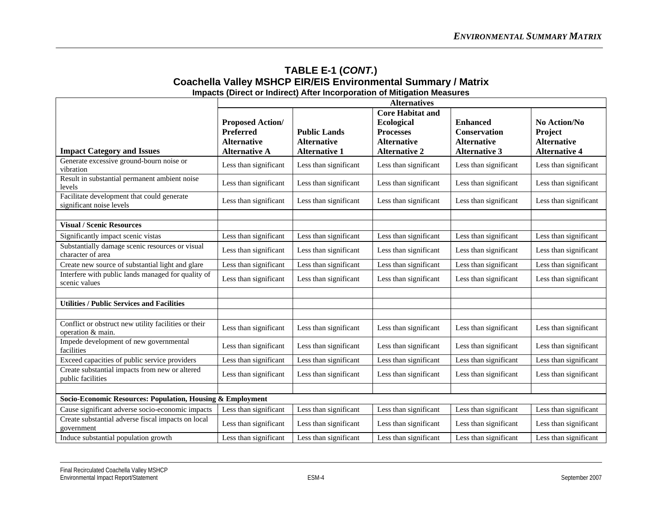|                                                                           | <b>Alternatives</b>                                               |                                           |                                                                                        |                                                              |                                                      |
|---------------------------------------------------------------------------|-------------------------------------------------------------------|-------------------------------------------|----------------------------------------------------------------------------------------|--------------------------------------------------------------|------------------------------------------------------|
|                                                                           | <b>Proposed Action/</b><br><b>Preferred</b><br><b>Alternative</b> | <b>Public Lands</b><br><b>Alternative</b> | <b>Core Habitat and</b><br><b>Ecological</b><br><b>Processes</b><br><b>Alternative</b> | <b>Enhanced</b><br><b>Conservation</b><br><b>Alternative</b> | <b>No Action/No</b><br>Project<br><b>Alternative</b> |
| <b>Impact Category and Issues</b>                                         | <b>Alternative A</b>                                              | <b>Alternative 1</b>                      | <b>Alternative 2</b>                                                                   | <b>Alternative 3</b>                                         | <b>Alternative 4</b>                                 |
| Generate excessive ground-bourn noise or<br>vibration                     | Less than significant                                             | Less than significant                     | Less than significant                                                                  | Less than significant                                        | Less than significant                                |
| Result in substantial permanent ambient noise<br>levels                   | Less than significant                                             | Less than significant                     | Less than significant                                                                  | Less than significant                                        | Less than significant                                |
| Facilitate development that could generate<br>significant noise levels    | Less than significant                                             | Less than significant                     | Less than significant                                                                  | Less than significant                                        | Less than significant                                |
|                                                                           |                                                                   |                                           |                                                                                        |                                                              |                                                      |
| <b>Visual / Scenic Resources</b>                                          |                                                                   |                                           |                                                                                        |                                                              |                                                      |
| Significantly impact scenic vistas                                        | Less than significant                                             | Less than significant                     | Less than significant                                                                  | Less than significant                                        | Less than significant                                |
| Substantially damage scenic resources or visual<br>character of area      | Less than significant                                             | Less than significant                     | Less than significant                                                                  | Less than significant                                        | Less than significant                                |
| Create new source of substantial light and glare                          | Less than significant                                             | Less than significant                     | Less than significant                                                                  | Less than significant                                        | Less than significant                                |
| Interfere with public lands managed for quality of<br>scenic values       | Less than significant                                             | Less than significant                     | Less than significant                                                                  | Less than significant                                        | Less than significant                                |
|                                                                           |                                                                   |                                           |                                                                                        |                                                              |                                                      |
| <b>Utilities / Public Services and Facilities</b>                         |                                                                   |                                           |                                                                                        |                                                              |                                                      |
|                                                                           |                                                                   |                                           |                                                                                        |                                                              |                                                      |
| Conflict or obstruct new utility facilities or their<br>operation & main. | Less than significant                                             | Less than significant                     | Less than significant                                                                  | Less than significant                                        | Less than significant                                |
| Impede development of new governmental<br>facilities                      | Less than significant                                             | Less than significant                     | Less than significant                                                                  | Less than significant                                        | Less than significant                                |
| Exceed capacities of public service providers                             | Less than significant                                             | Less than significant                     | Less than significant                                                                  | Less than significant                                        | Less than significant                                |
| Create substantial impacts from new or altered<br>public facilities       | Less than significant                                             | Less than significant                     | Less than significant                                                                  | Less than significant                                        | Less than significant                                |
|                                                                           |                                                                   |                                           |                                                                                        |                                                              |                                                      |
| Socio-Economic Resources: Population, Housing & Employment                |                                                                   |                                           |                                                                                        |                                                              |                                                      |
| Cause significant adverse socio-economic impacts                          | Less than significant                                             | Less than significant                     | Less than significant                                                                  | Less than significant                                        | Less than significant                                |
| Create substantial adverse fiscal impacts on local<br>government          | Less than significant                                             | Less than significant                     | Less than significant                                                                  | Less than significant                                        | Less than significant                                |
| Induce substantial population growth                                      | Less than significant                                             | Less than significant                     | Less than significant                                                                  | Less than significant                                        | Less than significant                                |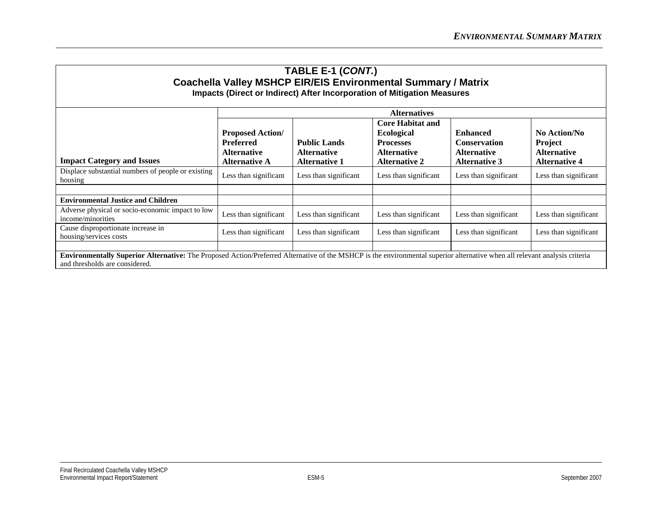|                                                                                                                                                                                                              | <b>Alternatives</b>                                                                       |                                                                   |                                                                                                                |                                                                                      |                                                                              |
|--------------------------------------------------------------------------------------------------------------------------------------------------------------------------------------------------------------|-------------------------------------------------------------------------------------------|-------------------------------------------------------------------|----------------------------------------------------------------------------------------------------------------|--------------------------------------------------------------------------------------|------------------------------------------------------------------------------|
| <b>Impact Category and Issues</b>                                                                                                                                                                            | <b>Proposed Action/</b><br><b>Preferred</b><br><b>Alternative</b><br><b>Alternative A</b> | <b>Public Lands</b><br><b>Alternative</b><br><b>Alternative 1</b> | <b>Core Habitat and</b><br><b>Ecological</b><br><b>Processes</b><br><b>Alternative</b><br><b>Alternative 2</b> | <b>Enhanced</b><br><b>Conservation</b><br><b>Alternative</b><br><b>Alternative 3</b> | No Action/No<br><b>Project</b><br><b>Alternative</b><br><b>Alternative 4</b> |
| Displace substantial numbers of people or existing<br>housing                                                                                                                                                | Less than significant                                                                     | Less than significant                                             | Less than significant                                                                                          | Less than significant                                                                | Less than significant                                                        |
|                                                                                                                                                                                                              |                                                                                           |                                                                   |                                                                                                                |                                                                                      |                                                                              |
| <b>Environmental Justice and Children</b>                                                                                                                                                                    |                                                                                           |                                                                   |                                                                                                                |                                                                                      |                                                                              |
| Adverse physical or socio-economic impact to low<br>income/minorities                                                                                                                                        | Less than significant                                                                     | Less than significant                                             | Less than significant                                                                                          | Less than significant                                                                | Less than significant                                                        |
| Cause disproportionate increase in<br>housing/services costs                                                                                                                                                 | Less than significant                                                                     | Less than significant                                             | Less than significant                                                                                          | Less than significant                                                                | Less than significant                                                        |
|                                                                                                                                                                                                              |                                                                                           |                                                                   |                                                                                                                |                                                                                      |                                                                              |
| Environmentally Superior Alternative: The Proposed Action/Preferred Alternative of the MSHCP is the environmental superior alternative when all relevant analysis criteria<br>and thresholds are considered. |                                                                                           |                                                                   |                                                                                                                |                                                                                      |                                                                              |